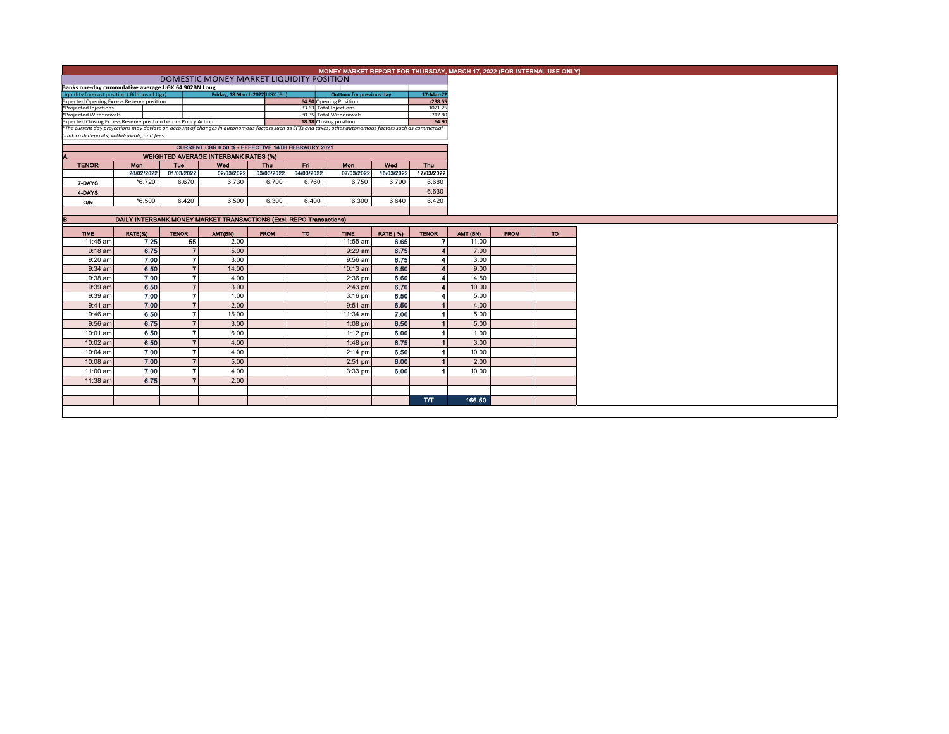| Banks one-day cummulative average: UGX 64.902BN Long |                                                                                                                                |                                                                                                                                                                                                                 |                                                                                                                                                                                                                                                                                                                                     |                                                                                    |                                                                                     |                                                                                                                                                                                                                                                                                                                                                                                                      |                                                                                                                                            |                                                                                                                                                                                                                                                                                                                                        |  |  |  |
|------------------------------------------------------|--------------------------------------------------------------------------------------------------------------------------------|-----------------------------------------------------------------------------------------------------------------------------------------------------------------------------------------------------------------|-------------------------------------------------------------------------------------------------------------------------------------------------------------------------------------------------------------------------------------------------------------------------------------------------------------------------------------|------------------------------------------------------------------------------------|-------------------------------------------------------------------------------------|------------------------------------------------------------------------------------------------------------------------------------------------------------------------------------------------------------------------------------------------------------------------------------------------------------------------------------------------------------------------------------------------------|--------------------------------------------------------------------------------------------------------------------------------------------|----------------------------------------------------------------------------------------------------------------------------------------------------------------------------------------------------------------------------------------------------------------------------------------------------------------------------------------|--|--|--|
|                                                      |                                                                                                                                |                                                                                                                                                                                                                 |                                                                                                                                                                                                                                                                                                                                     |                                                                                    |                                                                                     |                                                                                                                                                                                                                                                                                                                                                                                                      |                                                                                                                                            |                                                                                                                                                                                                                                                                                                                                        |  |  |  |
|                                                      |                                                                                                                                |                                                                                                                                                                                                                 |                                                                                                                                                                                                                                                                                                                                     |                                                                                    |                                                                                     |                                                                                                                                                                                                                                                                                                                                                                                                      |                                                                                                                                            |                                                                                                                                                                                                                                                                                                                                        |  |  |  |
|                                                      |                                                                                                                                |                                                                                                                                                                                                                 |                                                                                                                                                                                                                                                                                                                                     |                                                                                    |                                                                                     |                                                                                                                                                                                                                                                                                                                                                                                                      |                                                                                                                                            |                                                                                                                                                                                                                                                                                                                                        |  |  |  |
|                                                      |                                                                                                                                |                                                                                                                                                                                                                 |                                                                                                                                                                                                                                                                                                                                     |                                                                                    |                                                                                     |                                                                                                                                                                                                                                                                                                                                                                                                      |                                                                                                                                            |                                                                                                                                                                                                                                                                                                                                        |  |  |  |
|                                                      |                                                                                                                                |                                                                                                                                                                                                                 |                                                                                                                                                                                                                                                                                                                                     |                                                                                    |                                                                                     |                                                                                                                                                                                                                                                                                                                                                                                                      |                                                                                                                                            |                                                                                                                                                                                                                                                                                                                                        |  |  |  |
|                                                      |                                                                                                                                |                                                                                                                                                                                                                 |                                                                                                                                                                                                                                                                                                                                     |                                                                                    |                                                                                     |                                                                                                                                                                                                                                                                                                                                                                                                      |                                                                                                                                            |                                                                                                                                                                                                                                                                                                                                        |  |  |  |
|                                                      |                                                                                                                                |                                                                                                                                                                                                                 |                                                                                                                                                                                                                                                                                                                                     |                                                                                    |                                                                                     |                                                                                                                                                                                                                                                                                                                                                                                                      |                                                                                                                                            |                                                                                                                                                                                                                                                                                                                                        |  |  |  |
|                                                      |                                                                                                                                |                                                                                                                                                                                                                 |                                                                                                                                                                                                                                                                                                                                     |                                                                                    |                                                                                     |                                                                                                                                                                                                                                                                                                                                                                                                      |                                                                                                                                            |                                                                                                                                                                                                                                                                                                                                        |  |  |  |
|                                                      |                                                                                                                                |                                                                                                                                                                                                                 |                                                                                                                                                                                                                                                                                                                                     |                                                                                    |                                                                                     |                                                                                                                                                                                                                                                                                                                                                                                                      |                                                                                                                                            |                                                                                                                                                                                                                                                                                                                                        |  |  |  |
|                                                      |                                                                                                                                |                                                                                                                                                                                                                 |                                                                                                                                                                                                                                                                                                                                     |                                                                                    |                                                                                     |                                                                                                                                                                                                                                                                                                                                                                                                      |                                                                                                                                            |                                                                                                                                                                                                                                                                                                                                        |  |  |  |
|                                                      |                                                                                                                                |                                                                                                                                                                                                                 |                                                                                                                                                                                                                                                                                                                                     |                                                                                    |                                                                                     |                                                                                                                                                                                                                                                                                                                                                                                                      |                                                                                                                                            |                                                                                                                                                                                                                                                                                                                                        |  |  |  |
|                                                      |                                                                                                                                |                                                                                                                                                                                                                 |                                                                                                                                                                                                                                                                                                                                     |                                                                                    |                                                                                     |                                                                                                                                                                                                                                                                                                                                                                                                      |                                                                                                                                            |                                                                                                                                                                                                                                                                                                                                        |  |  |  |
|                                                      |                                                                                                                                |                                                                                                                                                                                                                 |                                                                                                                                                                                                                                                                                                                                     |                                                                                    |                                                                                     |                                                                                                                                                                                                                                                                                                                                                                                                      | 6.630                                                                                                                                      |                                                                                                                                                                                                                                                                                                                                        |  |  |  |
|                                                      |                                                                                                                                |                                                                                                                                                                                                                 |                                                                                                                                                                                                                                                                                                                                     |                                                                                    |                                                                                     |                                                                                                                                                                                                                                                                                                                                                                                                      |                                                                                                                                            |                                                                                                                                                                                                                                                                                                                                        |  |  |  |
|                                                      |                                                                                                                                |                                                                                                                                                                                                                 |                                                                                                                                                                                                                                                                                                                                     |                                                                                    |                                                                                     |                                                                                                                                                                                                                                                                                                                                                                                                      |                                                                                                                                            |                                                                                                                                                                                                                                                                                                                                        |  |  |  |
|                                                      |                                                                                                                                |                                                                                                                                                                                                                 |                                                                                                                                                                                                                                                                                                                                     |                                                                                    |                                                                                     |                                                                                                                                                                                                                                                                                                                                                                                                      |                                                                                                                                            |                                                                                                                                                                                                                                                                                                                                        |  |  |  |
| B.                                                   |                                                                                                                                |                                                                                                                                                                                                                 |                                                                                                                                                                                                                                                                                                                                     |                                                                                    |                                                                                     |                                                                                                                                                                                                                                                                                                                                                                                                      |                                                                                                                                            |                                                                                                                                                                                                                                                                                                                                        |  |  |  |
|                                                      |                                                                                                                                |                                                                                                                                                                                                                 | <b>FROM</b>                                                                                                                                                                                                                                                                                                                         | <b>TO</b>                                                                          | <b>TIME</b>                                                                         |                                                                                                                                                                                                                                                                                                                                                                                                      | <b>TENOR</b>                                                                                                                               |                                                                                                                                                                                                                                                                                                                                        |  |  |  |
|                                                      |                                                                                                                                |                                                                                                                                                                                                                 |                                                                                                                                                                                                                                                                                                                                     |                                                                                    | 11:55 am                                                                            | 6.65                                                                                                                                                                                                                                                                                                                                                                                                 |                                                                                                                                            |                                                                                                                                                                                                                                                                                                                                        |  |  |  |
|                                                      |                                                                                                                                |                                                                                                                                                                                                                 |                                                                                                                                                                                                                                                                                                                                     |                                                                                    |                                                                                     |                                                                                                                                                                                                                                                                                                                                                                                                      |                                                                                                                                            |                                                                                                                                                                                                                                                                                                                                        |  |  |  |
|                                                      |                                                                                                                                |                                                                                                                                                                                                                 |                                                                                                                                                                                                                                                                                                                                     |                                                                                    |                                                                                     |                                                                                                                                                                                                                                                                                                                                                                                                      |                                                                                                                                            |                                                                                                                                                                                                                                                                                                                                        |  |  |  |
|                                                      |                                                                                                                                |                                                                                                                                                                                                                 |                                                                                                                                                                                                                                                                                                                                     |                                                                                    |                                                                                     |                                                                                                                                                                                                                                                                                                                                                                                                      |                                                                                                                                            |                                                                                                                                                                                                                                                                                                                                        |  |  |  |
|                                                      |                                                                                                                                |                                                                                                                                                                                                                 |                                                                                                                                                                                                                                                                                                                                     |                                                                                    |                                                                                     |                                                                                                                                                                                                                                                                                                                                                                                                      |                                                                                                                                            |                                                                                                                                                                                                                                                                                                                                        |  |  |  |
|                                                      |                                                                                                                                |                                                                                                                                                                                                                 |                                                                                                                                                                                                                                                                                                                                     |                                                                                    |                                                                                     |                                                                                                                                                                                                                                                                                                                                                                                                      |                                                                                                                                            |                                                                                                                                                                                                                                                                                                                                        |  |  |  |
|                                                      |                                                                                                                                |                                                                                                                                                                                                                 |                                                                                                                                                                                                                                                                                                                                     |                                                                                    |                                                                                     |                                                                                                                                                                                                                                                                                                                                                                                                      |                                                                                                                                            |                                                                                                                                                                                                                                                                                                                                        |  |  |  |
|                                                      |                                                                                                                                |                                                                                                                                                                                                                 |                                                                                                                                                                                                                                                                                                                                     |                                                                                    |                                                                                     |                                                                                                                                                                                                                                                                                                                                                                                                      |                                                                                                                                            |                                                                                                                                                                                                                                                                                                                                        |  |  |  |
|                                                      |                                                                                                                                | 2.00                                                                                                                                                                                                            |                                                                                                                                                                                                                                                                                                                                     |                                                                                    | $9:51$ am                                                                           |                                                                                                                                                                                                                                                                                                                                                                                                      |                                                                                                                                            |                                                                                                                                                                                                                                                                                                                                        |  |  |  |
|                                                      |                                                                                                                                | 15.00                                                                                                                                                                                                           |                                                                                                                                                                                                                                                                                                                                     |                                                                                    | 11:34 am                                                                            | 7.00                                                                                                                                                                                                                                                                                                                                                                                                 |                                                                                                                                            |                                                                                                                                                                                                                                                                                                                                        |  |  |  |
|                                                      |                                                                                                                                | $\overline{7}$<br>3.00                                                                                                                                                                                          |                                                                                                                                                                                                                                                                                                                                     |                                                                                    | $1:08$ pm                                                                           | 6.50                                                                                                                                                                                                                                                                                                                                                                                                 |                                                                                                                                            |                                                                                                                                                                                                                                                                                                                                        |  |  |  |
|                                                      |                                                                                                                                |                                                                                                                                                                                                                 |                                                                                                                                                                                                                                                                                                                                     |                                                                                    |                                                                                     | 6.00                                                                                                                                                                                                                                                                                                                                                                                                 |                                                                                                                                            |                                                                                                                                                                                                                                                                                                                                        |  |  |  |
| 6.75                                                 |                                                                                                                                |                                                                                                                                                                                                                 |                                                                                                                                                                                                                                                                                                                                     |                                                                                    |                                                                                     |                                                                                                                                                                                                                                                                                                                                                                                                      |                                                                                                                                            |                                                                                                                                                                                                                                                                                                                                        |  |  |  |
| 6.50                                                 |                                                                                                                                | $\overline{7}$<br>6.00                                                                                                                                                                                          |                                                                                                                                                                                                                                                                                                                                     |                                                                                    | $1:12$ pm                                                                           |                                                                                                                                                                                                                                                                                                                                                                                                      |                                                                                                                                            |                                                                                                                                                                                                                                                                                                                                        |  |  |  |
| 6.50                                                 |                                                                                                                                | $\overline{z}$<br>4.00                                                                                                                                                                                          |                                                                                                                                                                                                                                                                                                                                     |                                                                                    | $1:48$ pm                                                                           | 6.75                                                                                                                                                                                                                                                                                                                                                                                                 |                                                                                                                                            |                                                                                                                                                                                                                                                                                                                                        |  |  |  |
| 7.00                                                 |                                                                                                                                | $\overline{7}$<br>4.00                                                                                                                                                                                          |                                                                                                                                                                                                                                                                                                                                     |                                                                                    | $2:14$ pm                                                                           | 6.50                                                                                                                                                                                                                                                                                                                                                                                                 |                                                                                                                                            |                                                                                                                                                                                                                                                                                                                                        |  |  |  |
| 7.00                                                 |                                                                                                                                | $\overline{7}$<br>5.00                                                                                                                                                                                          |                                                                                                                                                                                                                                                                                                                                     |                                                                                    | $2:51$ pm                                                                           | 6.00                                                                                                                                                                                                                                                                                                                                                                                                 |                                                                                                                                            |                                                                                                                                                                                                                                                                                                                                        |  |  |  |
|                                                      |                                                                                                                                | 7                                                                                                                                                                                                               |                                                                                                                                                                                                                                                                                                                                     |                                                                                    |                                                                                     |                                                                                                                                                                                                                                                                                                                                                                                                      |                                                                                                                                            |                                                                                                                                                                                                                                                                                                                                        |  |  |  |
| 7.00                                                 |                                                                                                                                | 4.00                                                                                                                                                                                                            |                                                                                                                                                                                                                                                                                                                                     |                                                                                    | $3:33$ pm                                                                           | 6.00                                                                                                                                                                                                                                                                                                                                                                                                 |                                                                                                                                            |                                                                                                                                                                                                                                                                                                                                        |  |  |  |
| 6.75                                                 |                                                                                                                                | $\overline{7}$<br>2.00                                                                                                                                                                                          |                                                                                                                                                                                                                                                                                                                                     |                                                                                    |                                                                                     |                                                                                                                                                                                                                                                                                                                                                                                                      |                                                                                                                                            |                                                                                                                                                                                                                                                                                                                                        |  |  |  |
|                                                      |                                                                                                                                |                                                                                                                                                                                                                 |                                                                                                                                                                                                                                                                                                                                     |                                                                                    |                                                                                     |                                                                                                                                                                                                                                                                                                                                                                                                      | <b>T/T</b>                                                                                                                                 |                                                                                                                                                                                                                                                                                                                                        |  |  |  |
|                                                      | *Projected Withdrawals<br>Mon<br>28/02/2022<br>$*6.720$<br>$*6.500$<br>RATE(%)<br>7.25<br>7.00<br>7.00<br>7.00<br>7.00<br>6.50 | Liquidity forecast position (Billions of Ugx)<br>Expected Opening Excess Reserve position<br>*Projected Injections<br>bank cash deposits, withdrawals, and fees.<br>Tue<br><b>TENOR</b><br>6.75<br>6.50<br>6.50 | Expected Closing Excess Reserve position before Policy Action<br>Wed<br>01/03/2022<br>6.670<br>6.730<br>6.420<br>6.500<br>AMT(BN)<br>55<br>2.00<br>$\overline{7}$<br>5.00<br>$\overline{7}$<br>3.00<br>$\overline{7}$<br>14.00<br>7<br>4.00<br>$\overline{7}$<br>3.00<br>$\overline{7}$<br>1.00<br>$\overline{7}$<br>$\overline{ }$ | <b>WEIGHTED AVERAGE INTERBANK RATES (%)</b><br>Thu<br>02/03/2022<br>6.700<br>6.300 | Friday, 18 March 2022 UGX (Bn)<br>Fri<br>04/03/2022<br>03/03/2022<br>6.760<br>6.400 | DOMESTIC MONEY MARKET LIQUIDITY POSITION<br>64.90 Opening Position<br>33.63 Total Injections<br>-80.35 Total Withdrawals<br>18.18 Closing position<br>CURRENT CBR 6.50 % - EFFECTIVE 14TH FEBRAURY 2021<br>Mon<br>07/03/2022<br>6.750<br>6.300<br>DAILY INTERBANK MONEY MARKET TRANSACTIONS (Excl. REPO Transactions)<br>$9:29$ am<br>$9:56$ am<br>$10:13$ am<br>$2:36$ pm<br>$2:43$ pm<br>$3:16$ pm | Outturn for previous day<br>Wed<br>16/03/2022<br>6.790<br>6.640<br><b>RATE (%)</b><br>6.75<br>6.75<br>6.50<br>6.60<br>6.70<br>6.50<br>6.50 | MONEY MARKET REPORT FOR THURSDAY, MARCH 17, 2022 (FOR INTERNAL USE ONLY)<br>17-Mar-22<br>$-238.55$<br>1021.25<br>$-717.80$<br>64.90<br>*The current day projections may deviate on account of changes in autonomous factors such as EFTs and taxes; other autonomous factors such as commercial<br>Thu<br>17/03/2022<br>6.680<br>6.420 |  |  |  |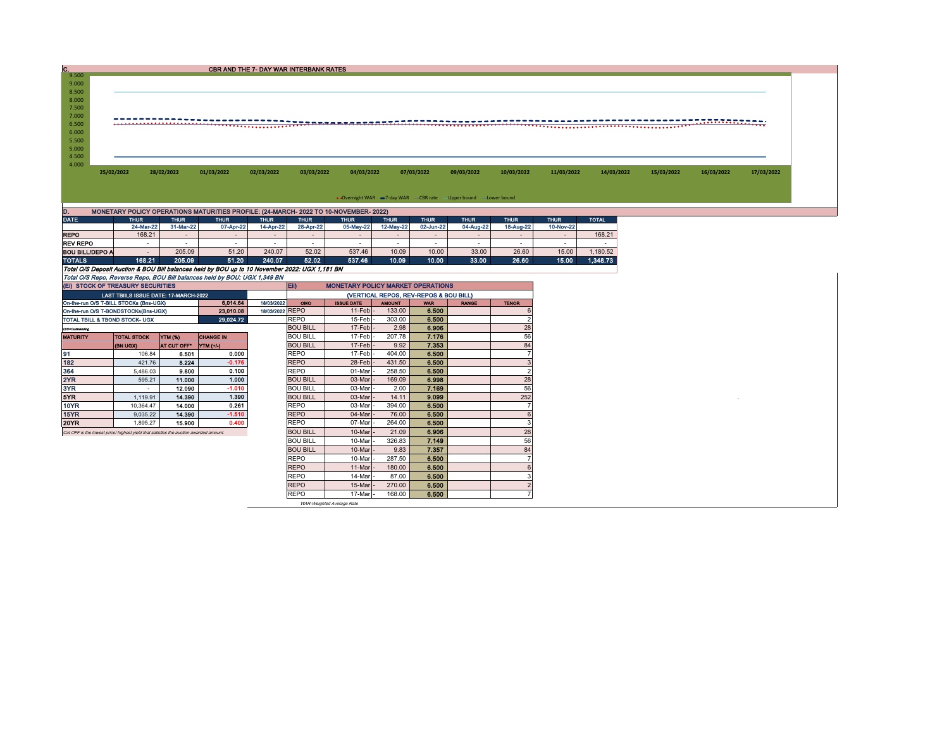| c.             |            |                                                                                      |            | CBR AND THE 7- DAY WAR INTERBANK RATES |            |                                                                    |            |            |            |            |            |            |            |            |
|----------------|------------|--------------------------------------------------------------------------------------|------------|----------------------------------------|------------|--------------------------------------------------------------------|------------|------------|------------|------------|------------|------------|------------|------------|
| 9.500          |            |                                                                                      |            |                                        |            |                                                                    |            |            |            |            |            |            |            |            |
| 9.000          |            |                                                                                      |            |                                        |            |                                                                    |            |            |            |            |            |            |            |            |
| 8.500<br>8.000 |            |                                                                                      |            |                                        |            |                                                                    |            |            |            |            |            |            |            |            |
| 7.500          |            |                                                                                      |            |                                        |            |                                                                    |            |            |            |            |            |            |            |            |
| 7.000          |            |                                                                                      |            |                                        |            |                                                                    |            |            |            |            |            |            |            |            |
| 6.500          |            |                                                                                      |            |                                        |            |                                                                    |            |            |            |            |            |            |            |            |
| 6.000          |            |                                                                                      |            |                                        |            |                                                                    |            |            |            |            |            |            |            |            |
| 5.500          |            |                                                                                      |            |                                        |            |                                                                    |            |            |            |            |            |            |            |            |
| 5.000          |            |                                                                                      |            |                                        |            |                                                                    |            |            |            |            |            |            |            |            |
| 4.500          |            |                                                                                      |            |                                        |            |                                                                    |            |            |            |            |            |            |            |            |
| 4.000          |            |                                                                                      |            |                                        |            |                                                                    |            |            |            |            |            |            |            |            |
|                | 25/02/2022 | 28/02/2022                                                                           | 01/03/2022 | 02/03/2022                             | 03/03/2022 | 04/03/2022                                                         | 07/03/2022 | 09/03/2022 | 10/03/2022 | 11/03/2022 | 14/03/2022 | 15/03/2022 | 16/03/2022 | 17/03/2022 |
|                |            |                                                                                      |            |                                        |            |                                                                    |            |            |            |            |            |            |            |            |
|                |            |                                                                                      |            |                                        |            |                                                                    |            |            |            |            |            |            |            |            |
|                |            |                                                                                      |            |                                        |            | • Overnight WAR = 7-day WAR - CBR rate - Upper bound - Lower bound |            |            |            |            |            |            |            |            |
| D.             |            | MONETARY POLICY OPERATIONS MATURITIES PROFILE: (24-MARCH- 2022 TO 10-NOVEMBER- 2022) |            |                                        |            |                                                                    |            |            |            |            |            |            |            |            |
|                |            |                                                                                      |            |                                        |            |                                                                    |            |            |            |            |            |            |            |            |

 $\overline{\phantom{0}}$ 

| .                                                                         | .                                                                                              | .                        | .         | .                        | .                        | .         | --------- | .         | .         | .         | .         | ____     |  |  |  |
|---------------------------------------------------------------------------|------------------------------------------------------------------------------------------------|--------------------------|-----------|--------------------------|--------------------------|-----------|-----------|-----------|-----------|-----------|-----------|----------|--|--|--|
|                                                                           | 24-Mar-22                                                                                      | 31-Mar-22                | 07-Apr-22 | 14-Apr-22                | 28-Apr-22                | 05-May-22 | 12-May-22 | 02-Jun-22 | 04-Aug-22 | 18-Aug-22 | 10-Nov-22 |          |  |  |  |
| <b>REPO</b>                                                               | 168.21                                                                                         | $\overline{\phantom{a}}$ | $\sim$    | $\overline{\phantom{a}}$ | $\overline{\phantom{0}}$ | $\sim$    |           |           | $\sim$    | $\sim$    | -         | 168.21   |  |  |  |
| <b>REV REPO</b>                                                           | -                                                                                              | -                        | $\sim$    |                          | <b>Contract</b>          |           |           |           | -         |           |           | -        |  |  |  |
| <b>BOU BILL/DEPO A</b>                                                    |                                                                                                | 205.09                   | 51.20     | 240.07                   | 52.02                    | 537.46    | 10.09     | 10.00     | 33.00     | 26.60     | 15.00     | .180.52  |  |  |  |
| <b>TOTALS</b>                                                             | 168.21                                                                                         | 205.09                   | 51.20     | 240.07                   | 52.02                    | 537.46    | 10.09     | 10.00     | 33.00     | 26.60     | 15.00     | 1.348.73 |  |  |  |
|                                                                           | Total O/S Deposit Auction & BOU Bill balances held by BOU up to 10 November 2022: UGX 1.181 BN |                          |           |                          |                          |           |           |           |           |           |           |          |  |  |  |
| Total O/S Repo, Reverse Repo, BOU Bill balances held by BOU: UGX 1,349 BN |                                                                                                |                          |           |                          |                          |           |           |           |           |           |           |          |  |  |  |

|                 | (EI) STOCK OF TREASURY SECURITIES                                                     |                |                  |                 | <b>ED</b><br><b>MONETARY POLICY MARKET OPERATIONS</b> |                           |               |            |              |                |  |  |  |
|-----------------|---------------------------------------------------------------------------------------|----------------|------------------|-----------------|-------------------------------------------------------|---------------------------|---------------|------------|--------------|----------------|--|--|--|
|                 | <b>LAST TBIILS ISSUE DATE: 17-MARCH-2022</b>                                          |                |                  |                 | (VERTICAL REPOS, REV-REPOS & BOU BILL)                |                           |               |            |              |                |  |  |  |
|                 | On-the-run O/S T-BILL STOCKs (Bns-UGX)                                                |                | 6.014.64         | 18/03/2022      | <b>OMO</b>                                            | <b>ISSUE DATE</b>         | <b>AMOUNT</b> | <b>WAR</b> | <b>RANGE</b> | <b>TENOR</b>   |  |  |  |
|                 | On-the-run O/S T-BONDSTOCKs(Bns-UGX)                                                  |                | 23.010.08        | 18/03/2022 REPO |                                                       | 11-Feb                    | 133.00        | 6.500      |              |                |  |  |  |
|                 | TOTAL TBILL & TBOND STOCK- UGX                                                        |                | 29.024.72        |                 | <b>REPO</b>                                           | 15-Feb                    | 303.00        | 6.500      |              |                |  |  |  |
| O/S=Outstanding |                                                                                       |                |                  |                 | <b>BOU BILL</b>                                       | 17-Feb                    | 2.98          | 6.906      |              | 28             |  |  |  |
| <b>MATURITY</b> | <b>TOTAL STOCK</b>                                                                    | <b>YTM (%)</b> | <b>CHANGE IN</b> |                 | <b>BOU BILL</b>                                       | 17-Feb                    | 207.78        | 7.176      |              | 56             |  |  |  |
|                 | (BN UGX)                                                                              | AT CUT OFF*    | <b>YTM (+/-)</b> |                 | <b>BOU BILL</b>                                       | 17-Feb                    | 9.92          | 7.353      |              | 84             |  |  |  |
| 91              | 106.84                                                                                | 6.501          | 0.000            |                 | <b>REPO</b>                                           | 17-Feb                    | 404.00        | 6.500      |              |                |  |  |  |
| 182             | 421.76                                                                                | 8.224          | $-0.176$         |                 | <b>REPO</b>                                           | 28-Feb                    | 431.50        | 6.500      |              |                |  |  |  |
| 364             | 5.486.03                                                                              | 9.800          | 0.100            |                 | <b>REPO</b>                                           | 01-Mar                    | 258.50        | 6.500      |              | $\overline{2}$ |  |  |  |
| 2YR             | 595.21                                                                                | 11.000         | 1.000            |                 | <b>BOU BILL</b>                                       | 03-Mar                    | 169.09        | 6.998      |              | 28             |  |  |  |
| 3YR             | $\overline{\phantom{a}}$                                                              | 12.090         | $-1.010$         |                 | <b>BOU BILL</b>                                       | 03-Mar                    | 2.00          | 7.169      |              | 56             |  |  |  |
| 5YR             | 1.119.91                                                                              | 14.390         | 1.390            |                 | <b>BOU BILL</b>                                       | 03-Mar                    | 14.11         | 9.099      |              | 252            |  |  |  |
| 10YR            | 10.364.47                                                                             | 14.000         | 0.261            |                 | <b>REPO</b>                                           | 03-Mar                    | 394.00        | 6.500      |              |                |  |  |  |
| 15YR            | 9.035.22                                                                              | 14,390         | $-1.510$         |                 | <b>REPO</b>                                           | 04-Mar                    | 76.00         | 6.500      |              |                |  |  |  |
| 20YR            | 1.895.27                                                                              | 15,900         | 0.400            |                 | <b>REPO</b>                                           | 07-Mar                    | 264.00        | 6.500      |              |                |  |  |  |
|                 | Cut OFF is the lowest price/ highest yield that satisfies the auction awarded amount. |                |                  |                 | <b>BOU BILL</b>                                       | 10-Mar                    | 21.09         | 6.906      |              | 28             |  |  |  |
|                 |                                                                                       |                |                  |                 | <b>BOU BILL</b>                                       | 10-Mar                    | 326.83        | 7.149      |              | 56             |  |  |  |
|                 |                                                                                       |                |                  |                 | <b>BOU BILL</b>                                       | 10-Mar                    | 9.83          | 7.357      |              | 84             |  |  |  |
|                 |                                                                                       |                |                  |                 | <b>REPO</b>                                           | 10-Mar                    | 287.50        | 6.500      |              |                |  |  |  |
|                 |                                                                                       |                |                  |                 | <b>REPO</b>                                           | 11-Mar                    | 180.00        | 6.500      |              |                |  |  |  |
|                 |                                                                                       |                |                  |                 | <b>REPO</b>                                           | 14-Mar                    | 87.00         | 6.500      |              |                |  |  |  |
|                 |                                                                                       |                |                  |                 | <b>REPO</b>                                           | 15-Mar                    | 270.00        | 6.500      |              |                |  |  |  |
|                 |                                                                                       |                |                  |                 | <b>REPO</b>                                           | 17-Mar                    | 168.00        | 6.500      |              |                |  |  |  |
|                 |                                                                                       |                |                  |                 |                                                       | WAR-Weighted Average Rate |               |            |              |                |  |  |  |